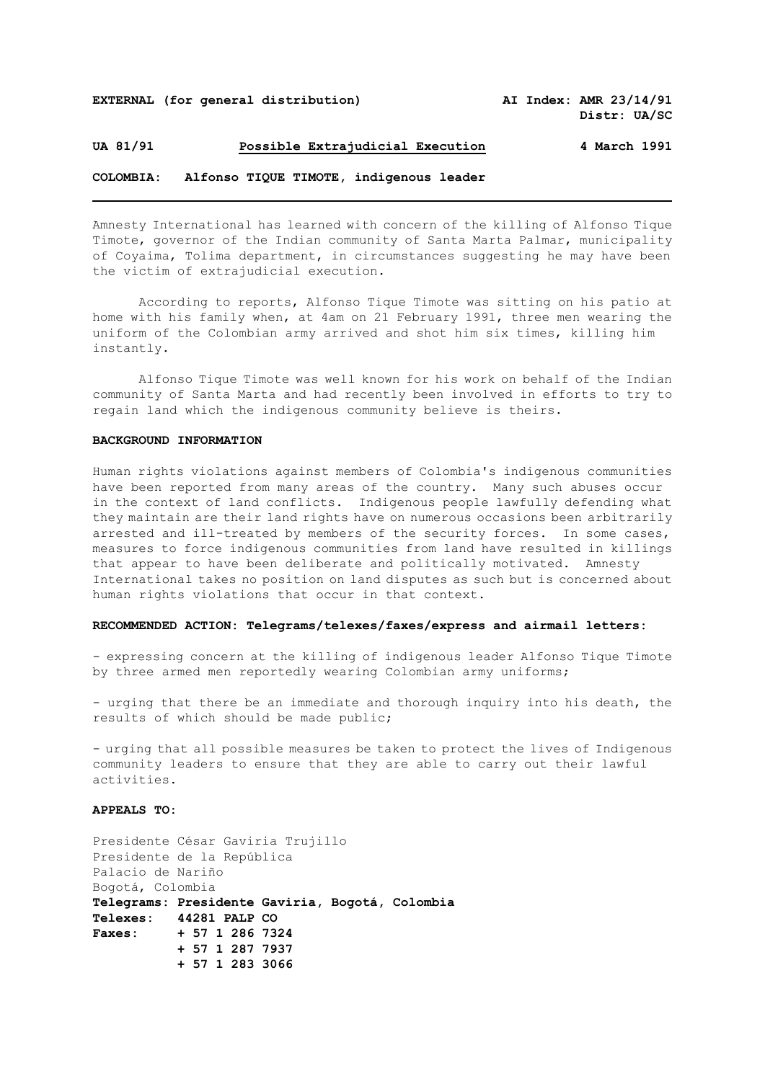## **UA 81/91 Possible Extrajudicial Execution 4 March 1991**

# **COLOMBIA: Alfonso TIQUE TIMOTE, indigenous leader**

Amnesty International has learned with concern of the killing of Alfonso Tique Timote, governor of the Indian community of Santa Marta Palmar, municipality of Coyaima, Tolima department, in circumstances suggesting he may have been the victim of extrajudicial execution.

According to reports, Alfonso Tique Timote was sitting on his patio at home with his family when, at 4am on 21 February 1991, three men wearing the uniform of the Colombian army arrived and shot him six times, killing him instantly.

Alfonso Tique Timote was well known for his work on behalf of the Indian community of Santa Marta and had recently been involved in efforts to try to regain land which the indigenous community believe is theirs.

#### **BACKGROUND INFORMATION**

Human rights violations against members of Colombia's indigenous communities have been reported from many areas of the country. Many such abuses occur in the context of land conflicts. Indigenous people lawfully defending what they maintain are their land rights have on numerous occasions been arbitrarily arrested and ill-treated by members of the security forces. In some cases, measures to force indigenous communities from land have resulted in killings that appear to have been deliberate and politically motivated. Amnesty International takes no position on land disputes as such but is concerned about human rights violations that occur in that context.

### **RECOMMENDED ACTION: Telegrams/telexes/faxes/express and airmail letters:**

- expressing concern at the killing of indigenous leader Alfonso Tique Timote by three armed men reportedly wearing Colombian army uniforms;

- urging that there be an immediate and thorough inquiry into his death, the results of which should be made public;

- urging that all possible measures be taken to protect the lives of Indigenous community leaders to ensure that they are able to carry out their lawful activities.

## **APPEALS TO:**

Presidente César Gaviria Trujillo Presidente de la República Palacio de Nariño Bogotá, Colombia **Telegrams: Presidente Gaviria, Bogotá, Colombia Telexes: 44281 PALP CO Faxes: + 57 1 286 7324 + 57 1 287 7937 + 57 1 283 3066**